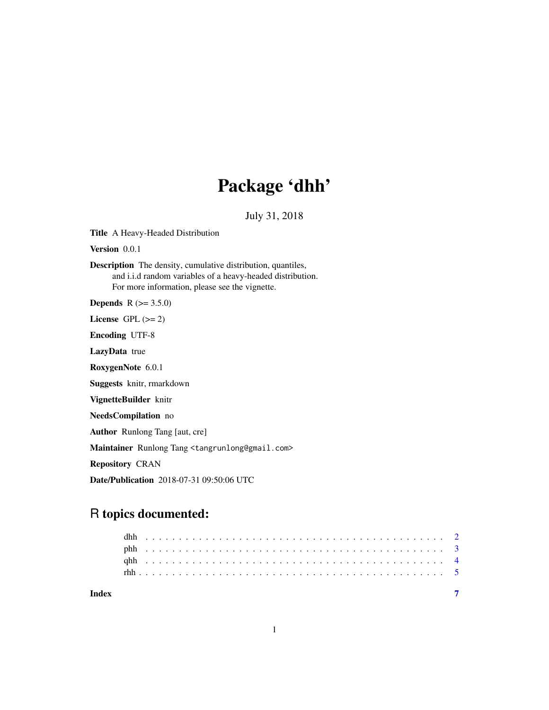## Package 'dhh'

July 31, 2018

Title A Heavy-Headed Distribution

Version 0.0.1

Description The density, cumulative distribution, quantiles, and i.i.d random variables of a heavy-headed distribution. For more information, please see the vignette.

**Depends**  $R$  ( $>= 3.5.0$ )

License GPL  $(>= 2)$ 

Encoding UTF-8

LazyData true

RoxygenNote 6.0.1

Suggests knitr, rmarkdown

VignetteBuilder knitr

NeedsCompilation no

Author Runlong Tang [aut, cre]

Maintainer Runlong Tang <tangrunlong@gmail.com>

Repository CRAN

Date/Publication 2018-07-31 09:50:06 UTC

## R topics documented:

| Index |  |  |  |  |  |  |  |  |  |  |  |  |  |  |  |  |  |  |  |  |  |  |  |  |
|-------|--|--|--|--|--|--|--|--|--|--|--|--|--|--|--|--|--|--|--|--|--|--|--|--|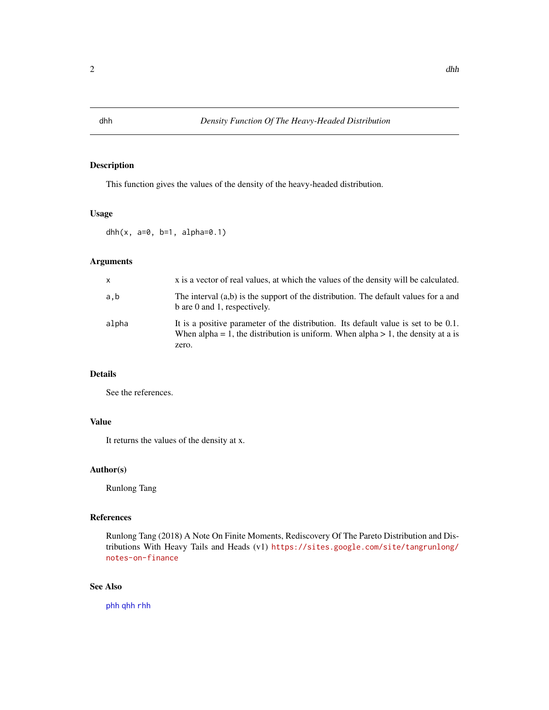## Description

This function gives the values of the density of the heavy-headed distribution.

## Usage

```
dhh(x, a=0, b=1, a1pha=0.1)
```
## Arguments

| x     | x is a vector of real values, at which the values of the density will be calculated.                                                                                             |
|-------|----------------------------------------------------------------------------------------------------------------------------------------------------------------------------------|
| a.b   | The interval (a,b) is the support of the distribution. The default values for a and<br>b are 0 and 1, respectively.                                                              |
| alpha | It is a positive parameter of the distribution. Its default value is set to be 0.1.<br>When alpha = 1, the distribution is uniform. When alpha > 1, the density at a is<br>zero. |

#### Details

See the references.

## Value

It returns the values of the density at x.

## Author(s)

Runlong Tang

## References

Runlong Tang (2018) A Note On Finite Moments, Rediscovery Of The Pareto Distribution and Distributions With Heavy Tails and Heads (v1) [https://sites.google.com/site/tangrunlong/](https://sites.google.com/site/tangrunlong/notes-on-finance) [notes-on-finance](https://sites.google.com/site/tangrunlong/notes-on-finance)

## See Also

[phh](#page-2-1) [qhh](#page-3-1) [rhh](#page-4-1)

<span id="page-1-1"></span><span id="page-1-0"></span>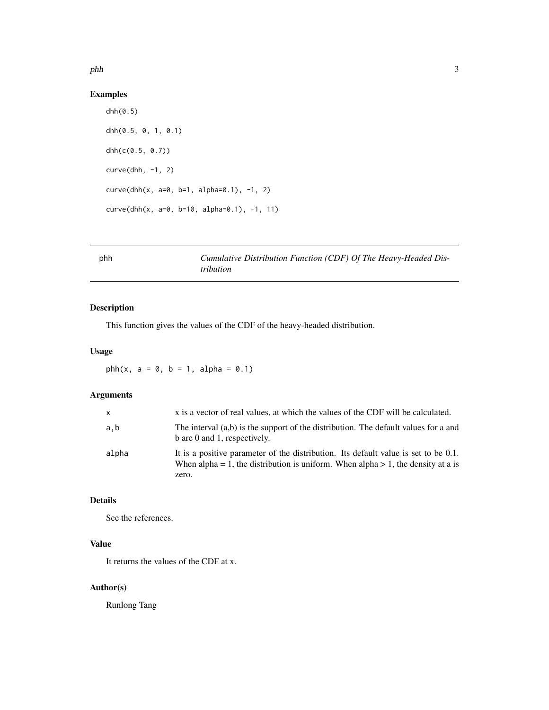<span id="page-2-0"></span>phh 3

## Examples

```
dhh(0.5)
dhh(0.5, 0, 1, 0.1)
dhh(c(0.5, 0.7))
curve(dhh, -1, 2)curve(dhh(x, a=0, b=1, alpha=0.1), -1, 2)
curve(dhh(x, a=0, b=10, alpha=0.1), -1, 11)
```
## <span id="page-2-1"></span>phh *Cumulative Distribution Function (CDF) Of The Heavy-Headed Distribution*

## Description

This function gives the values of the CDF of the heavy-headed distribution.

#### Usage

 $phh(x, a = 0, b = 1, alpha = 0.1)$ 

## Arguments

| x     | x is a vector of real values, at which the values of the CDF will be calculated.                                                                                                 |
|-------|----------------------------------------------------------------------------------------------------------------------------------------------------------------------------------|
| a.b   | The interval (a,b) is the support of the distribution. The default values for a and<br>b are 0 and 1, respectively.                                                              |
| alpha | It is a positive parameter of the distribution. Its default value is set to be 0.1.<br>When alpha = 1, the distribution is uniform. When alpha > 1, the density at a is<br>zero. |

## Details

See the references.

## Value

It returns the values of the CDF at x.

## Author(s)

Runlong Tang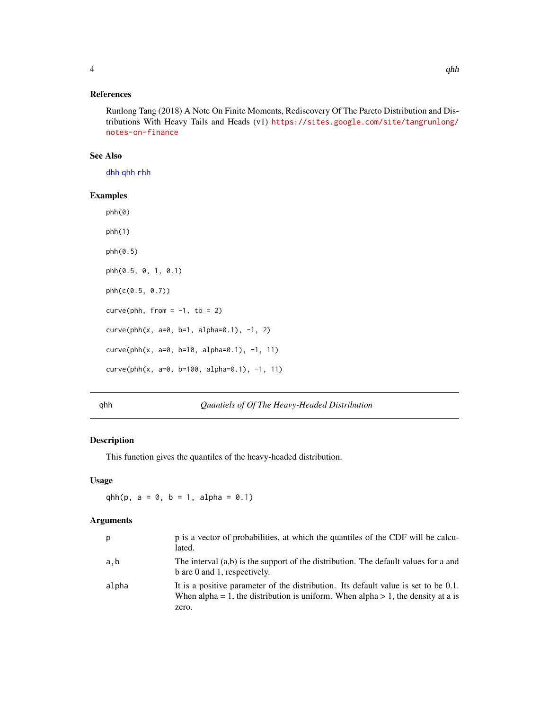#### <span id="page-3-0"></span>References

Runlong Tang (2018) A Note On Finite Moments, Rediscovery Of The Pareto Distribution and Distributions With Heavy Tails and Heads (v1) [https://sites.google.com/site/tangrunlong/](https://sites.google.com/site/tangrunlong/notes-on-finance) [notes-on-finance](https://sites.google.com/site/tangrunlong/notes-on-finance)

#### See Also

[dhh](#page-1-1) [qhh](#page-3-1) [rhh](#page-4-1)

## Examples

phh(0)  $phh(1)$ phh(0.5) phh(0.5, 0, 1, 0.1) phh(c(0.5, 0.7))  $curve(phh, from = -1, to = 2)$ curve(phh(x, a=0, b=1, alpha=0.1), -1, 2) curve(phh(x, a=0, b=10, alpha=0.1), -1, 11) curve(phh(x, a=0, b=100, alpha=0.1), -1, 11)

## <span id="page-3-1"></span>qhh *Quantiels of Of The Heavy-Headed Distribution*

#### Description

This function gives the quantiles of the heavy-headed distribution.

#### Usage

 $qhh(p, a = 0, b = 1, alpha = 0.1)$ 

#### Arguments

| p     | p is a vector of probabilities, at which the quantiles of the CDF will be calcu-<br>lated.                                                                                       |
|-------|----------------------------------------------------------------------------------------------------------------------------------------------------------------------------------|
| a,b   | The interval (a,b) is the support of the distribution. The default values for a and<br>b are 0 and 1, respectively.                                                              |
| alpha | It is a positive parameter of the distribution. Its default value is set to be 0.1.<br>When alpha = 1, the distribution is uniform. When alpha > 1, the density at a is<br>zero. |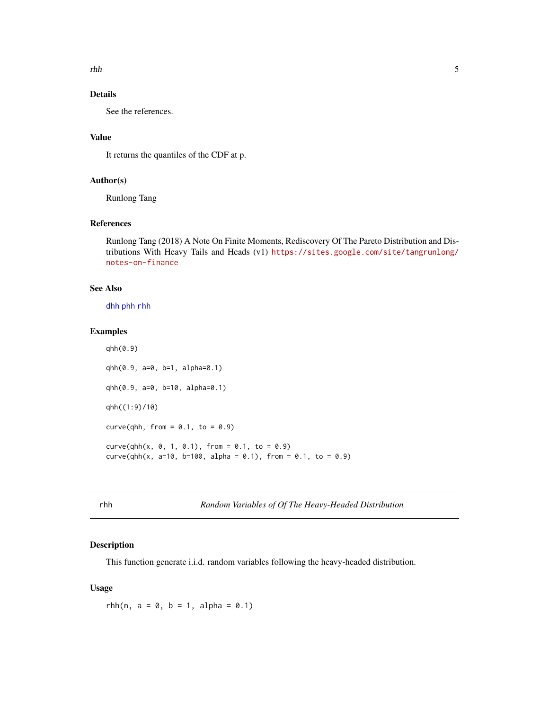<span id="page-4-0"></span>rhh 5

## Details

See the references.

## Value

It returns the quantiles of the CDF at p.

## Author(s)

Runlong Tang

## References

Runlong Tang (2018) A Note On Finite Moments, Rediscovery Of The Pareto Distribution and Distributions With Heavy Tails and Heads (v1) [https://sites.google.com/site/tangrunlong/](https://sites.google.com/site/tangrunlong/notes-on-finance) [notes-on-finance](https://sites.google.com/site/tangrunlong/notes-on-finance)

## See Also

[dhh](#page-1-1) [phh](#page-2-1) [rhh](#page-4-1)

qhh(0.9)

## Examples

```
qhh(0.9, a=0, b=1, alpha=0.1)
qhh(0.9, a=0, b=10, alpha=0.1)
qhh((1:9)/10)
curve(qhh, from = 0.1, to = 0.9)
curve(qhh(x, 0, 1, 0.1), from = 0.1, to = 0.9)curve(qhh(x, a=10, b=100, alpha = 0.1), from = 0.1, to = 0.9)
```
<span id="page-4-1"></span>rhh *Random Variables of Of The Heavy-Headed Distribution*

## Description

This function generate i.i.d. random variables following the heavy-headed distribution.

## Usage

rhh(n,  $a = 0$ ,  $b = 1$ ,  $alpha = 0.1$ )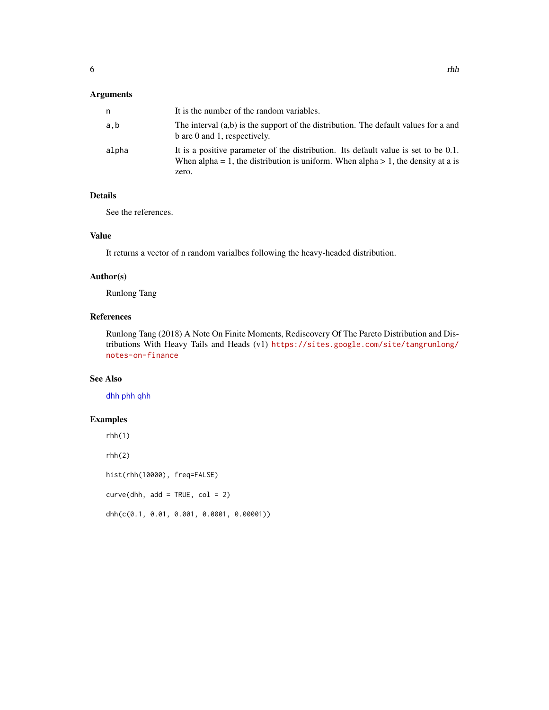## <span id="page-5-0"></span>Arguments

| It is the number of the random variables.                                                                                                                                        |
|----------------------------------------------------------------------------------------------------------------------------------------------------------------------------------|
| The interval (a,b) is the support of the distribution. The default values for a and<br>b are 0 and 1, respectively.                                                              |
| It is a positive parameter of the distribution. Its default value is set to be 0.1.<br>When alpha = 1, the distribution is uniform. When alpha > 1, the density at a is<br>zero. |
|                                                                                                                                                                                  |

## Details

See the references.

#### Value

It returns a vector of n random varialbes following the heavy-headed distribution.

## Author(s)

Runlong Tang

## References

Runlong Tang (2018) A Note On Finite Moments, Rediscovery Of The Pareto Distribution and Distributions With Heavy Tails and Heads (v1) [https://sites.google.com/site/tangrunlong/](https://sites.google.com/site/tangrunlong/notes-on-finance) [notes-on-finance](https://sites.google.com/site/tangrunlong/notes-on-finance)

## See Also

[dhh](#page-1-1) [phh](#page-2-1) [qhh](#page-3-1)

## Examples

 $rhh(1)$ 

 $rhh(2)$ 

hist(rhh(10000), freq=FALSE)

 $curve(dhh, add = TRUE, col = 2)$ 

dhh(c(0.1, 0.01, 0.001, 0.0001, 0.00001))